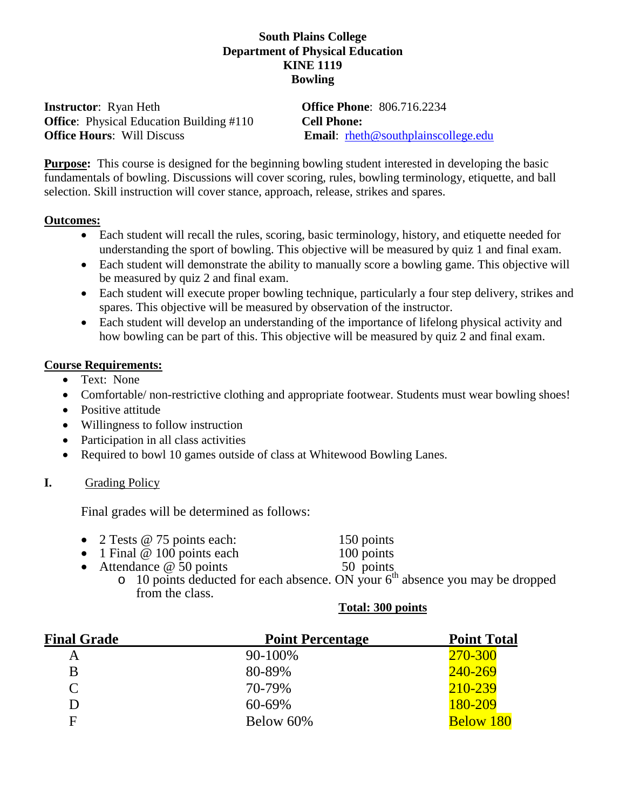#### **South Plains College Department of Physical Education KINE 1119 Bowling**

**Instructor**: Ryan Heth **Office Phone**: 806.716.2234 **Office**: Physical Education Building #110 **Cell Phone: Office Hours:** Will Discuss **Email:** rheth@southplainscollege.edu

**Purpose:** This course is designed for the beginning bowling student interested in developing the basic fundamentals of bowling. Discussions will cover scoring, rules, bowling terminology, etiquette, and ball selection. Skill instruction will cover stance, approach, release, strikes and spares.

#### **Outcomes:**

- Each student will recall the rules, scoring, basic terminology, history, and etiquette needed for understanding the sport of bowling. This objective will be measured by quiz 1 and final exam.
- Each student will demonstrate the ability to manually score a bowling game. This objective will be measured by quiz 2 and final exam.
- Each student will execute proper bowling technique, particularly a four step delivery, strikes and spares. This objective will be measured by observation of the instructor.
- Each student will develop an understanding of the importance of lifelong physical activity and how bowling can be part of this. This objective will be measured by quiz 2 and final exam.

#### **Course Requirements:**

- Text: None
- Comfortable/ non-restrictive clothing and appropriate footwear. Students must wear bowling shoes!
- Positive attitude
- Willingness to follow instruction
- Participation in all class activities
- Required to bowl 10 games outside of class at Whitewood Bowling Lanes.

## **I.** Grading Policy

Final grades will be determined as follows:

- 
- 2 Tests @ 75 points each: 150 points<br>
1 Final @ 100 points each 100 points • 1 Final  $\omega$  100 points each
- Attendance  $@50$  points  $50$  points
	- $\circ$  10 points deducted for each absence. ON your  $6<sup>th</sup>$  absence you may be dropped from the class.

#### **Total: 300 points**

| <b>Final Grade</b> | <b>Point Percentage</b> | <b>Point Total</b> |
|--------------------|-------------------------|--------------------|
| Α                  | 90-100%                 | 270-300            |
| B                  | 80-89%                  | 240-269            |
| $\mathsf{C}$       | 70-79%                  | 210-239            |
| D                  | 60-69%                  | 180-209            |
| F                  | Below 60%               | <b>Below 180</b>   |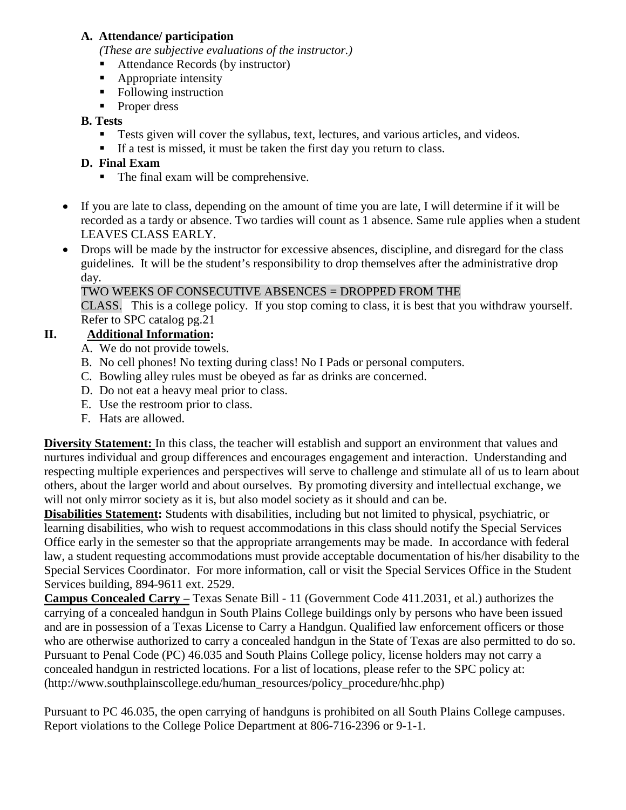#### **A. Attendance/ participation**

*(These are subjective evaluations of the instructor.)*

- Attendance Records (by instructor)
- Appropriate intensity
- Following instruction
- **Proper dress**

### **B. Tests**

- **Tests given will cover the syllabus, text, lectures, and various articles, and videos.**
- If a test is missed, it must be taken the first day you return to class.

## **D. Final Exam**

- The final exam will be comprehensive.
- If you are late to class, depending on the amount of time you are late, I will determine if it will be recorded as a tardy or absence. Two tardies will count as 1 absence. Same rule applies when a student LEAVES CLASS EARLY.
- Drops will be made by the instructor for excessive absences, discipline, and disregard for the class guidelines. It will be the student's responsibility to drop themselves after the administrative drop day.

## TWO WEEKS OF CONSECUTIVE ABSENCES = DROPPED FROM THE

CLASS. This is a college policy. If you stop coming to class, it is best that you withdraw yourself. Refer to SPC catalog pg.21

## **II. Additional Information:**

- A. We do not provide towels.
- B. No cell phones! No texting during class! No I Pads or personal computers.
- C. Bowling alley rules must be obeyed as far as drinks are concerned.
- D. Do not eat a heavy meal prior to class.
- E. Use the restroom prior to class.
- F. Hats are allowed.

**Diversity Statement:** In this class, the teacher will establish and support an environment that values and nurtures individual and group differences and encourages engagement and interaction. Understanding and respecting multiple experiences and perspectives will serve to challenge and stimulate all of us to learn about others, about the larger world and about ourselves. By promoting diversity and intellectual exchange, we will not only mirror society as it is, but also model society as it should and can be.

**Disabilities Statement:** Students with disabilities, including but not limited to physical, psychiatric, or learning disabilities, who wish to request accommodations in this class should notify the Special Services Office early in the semester so that the appropriate arrangements may be made.In accordance with federal law, a student requesting accommodations must provide acceptable documentation of his/her disability to the Special Services Coordinator. For more information, call or visit the Special Services Office in the Student Services building, 894-9611 ext. 2529.

**Campus Concealed Carry –** Texas Senate Bill - 11 (Government Code 411.2031, et al.) authorizes the carrying of a concealed handgun in South Plains College buildings only by persons who have been issued and are in possession of a Texas License to Carry a Handgun. Qualified law enforcement officers or those who are otherwise authorized to carry a concealed handgun in the State of Texas are also permitted to do so. Pursuant to Penal Code (PC) 46.035 and South Plains College policy, license holders may not carry a concealed handgun in restricted locations. For a list of locations, please refer to the SPC policy at: (http://www.southplainscollege.edu/human\_resources/policy\_procedure/hhc.php)

Pursuant to PC 46.035, the open carrying of handguns is prohibited on all South Plains College campuses. Report violations to the College Police Department at 806-716-2396 or 9-1-1.